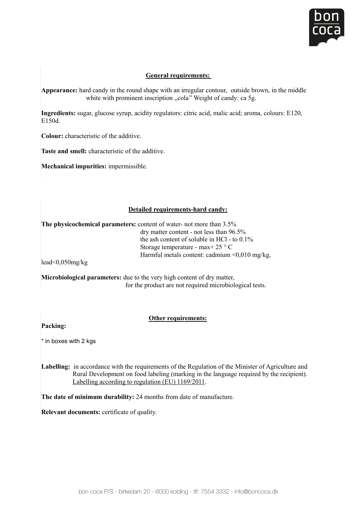

# **General requirements:**

**Appearance:** hard candy in the round shape with an irregular contour, outside brown, in the middle white with prominent inscription "cola" Weight of candy: ca 5g.

**Ingredients:** sugar, glucose syrup, acidity regulators: citric acid, malic acid; aroma, colours: E120, E150d. white with prominent inscription , and the with of candy and set of candy  $\frac{1}{2}$ ity regulators: citric acid

**Colour:** characteristic of the additive.  $\frac{1}{2}$ 

Taste and smell: characteristic of the additive. **Colour:** characteristic of the

**Mechanical impurities:** impermissible. 

#### **The physicochemical parameters:** content of water- not more than 3.5% **Detailed requirements-hard candy: Mechanical impurities:** impermissible.

 $\mathbf{m}$  is a sh content of solution in HCl  $\mathbf{m}$  as to  $\mathbf{m}$ **The physicochemical parameters:** content of water- not more than 3.5% dry matter content - not less than  $90.5\%$ <br>the ash content of soluble in HCl - to  $0.1\%$ Harmful metals content: cadmium <0,010 mg/kg,  $\frac{1}{2}$  to 0.10 mg/kg, dry matter content - not less than 96.5% Storage temperature - max + 25  $\degree$  C

 $\text{real}\setminus\text{0,}$  but are not required microbiological tests.  $\text{lead}\textless 0,050 \text{mg/kg}$ 

**THETODIOLOGICAL PATAMELETS:** GIVE TO THE VETY HIGH CONCILE OF UPY HIGHTS.<br>
for the product are not required microbiological tests. **Packing: Microbiological parameters:** due to the very high content of dry matter,  $\mathbf{H}$  metals content: cadmium  $\mathbf{H}$ MICrodiological

# **Other requirements:**

**Packing: Lacking:** in accordance with the requirements of the Regulation of the Regulation of  $\mathcal{L}$ 

 $\mathbf t$  is believely with  $\boldsymbol \theta$  label  $*$  in boxes with 2 kgs

Rural Development on food labeling (marking in the language required by the recipient). Labelling: in accordance with the requirements of the Regulation of the Minister of Agriculture and **Labelling according to regulation (EU) 1169/2011.** 

The date of minimum durability: 24 months from date of manufacture.

**Relevant documents:** certificate of quality.